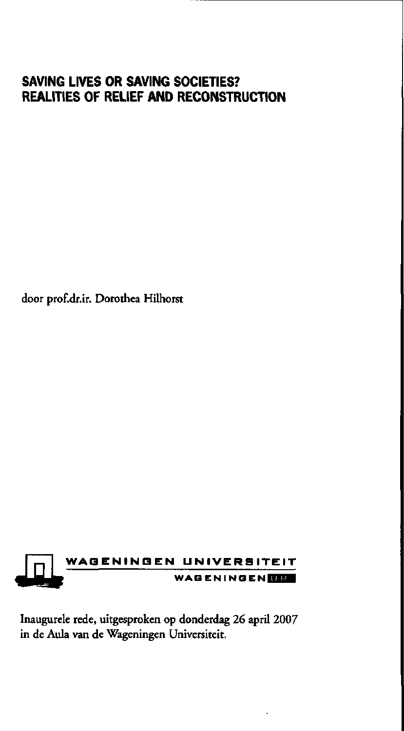# **SAVING LIVES OR SAVING SOCIETIES? REALITIES OF RELIEF AND RECONSTRUCTION**

door prof.dr.ir. Dorothea Hilhorst



Inaugurele rede, uitgesproken op donderdag 26 april 2007 in de Aula van de Wageningen Universiteit.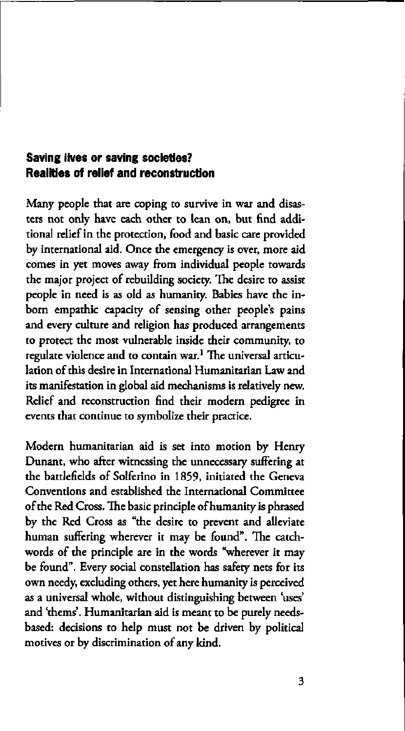## **Saving lives or saving societies? Realities of relief and reconstruction**

Many people that are coping to survive in war and disasters not only have each other to lean on, but find additional relief in the protection, food and basic care provided by international aid. Once the emergency is over, more aid comes in yet moves away from individual people towards the major project of rebuilding society. The desire to assist people in need is as old as humanity. Babies have the inborn empathie capacity of sensing other people's pains and every culture and religion has produced arrangements to protect the most vulnerable inside their community, to regulate violence and to contain war.<sup>1</sup> The universal articular lation of this desire in International Humanitarian Law and its manifestation in global aid mechanisms is relatively new. Relief and reconstruction find their modern pedigree in events that continue to symbolize their practice.

Modern humanitarian aid is set into motion by Henry Dunant, who after witnessing the unnecessary suffering at the battlefields of Solferino in 1859, initiated the Geneva Conventions and established the International Committee of the Red Cross. The basic principle of humanity is phrased by the Red Cross as "the desire to prevent and alleviate human suffering wherever it may be found". The catchwords of the principle are in the words "wherever it may be found". Every social constellation has safety nets for its own needy, excluding others, yet here humanity is perceived as a universal whole, without distinguishing between 'uses' and 'thems'. Humanitarian aid is meant to be purely needsbased: decisions to help must not be driven by political motives or by discrimination of any kind.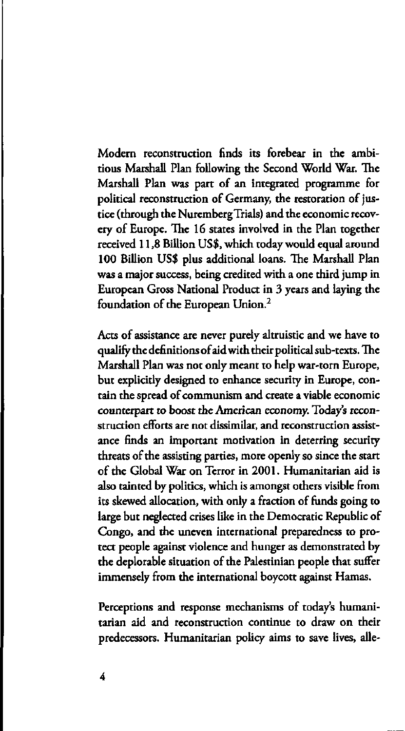Modern reconstruction finds its forebear in the ambitious Marshall Plan following the Second World War. The Marshall Plan was part of an integrated programme for political reconstruction of Germany, the restoration of justice (through the Nuremberg Trials) and the economic recovery of Europe. The 16 states involved in the Plan together received 11,8 Billion US\$, which today would equal around 100 Billion US\$ plus additional loans. The Marshall Plan was a major success, being credited with a one third jump in European Gross National Product in 3 years and laying the foundation of the European Union.<sup>2</sup>

Acts of assistance are never purely altruistic and we have to qualify the definitions of aid with their political sub-texts. The Marshall Plan was not only meant to help war-torn Europe, but explicidy designed to enhance security in Europe, contain the spread of communism and create a viable economic counterpart to boost the American economy. Today's reconstruction efforts are not dissimilar, and reconstruction assistance finds an important motivation in deterring security threats of the assisting parties, more openly so since the start of the Global War on Terror in 2001. Humanitarian aid is also tainted by politics, which is amongst others visible from its skewed allocation, with only a fraction of funds going to large but neglected crises like in the Democratic Republic of Congo, and the uneven international preparedness to protect people against violence and hunger as demonstrated by the deplorable situation of the Palestinian people that suffer immensely from the international boycott against Hamas.

Perceptions and response mechanisms of today's humanitarian aid and reconstruction continue to draw on their predecessors. Humanitarian policy aims to save lives, alle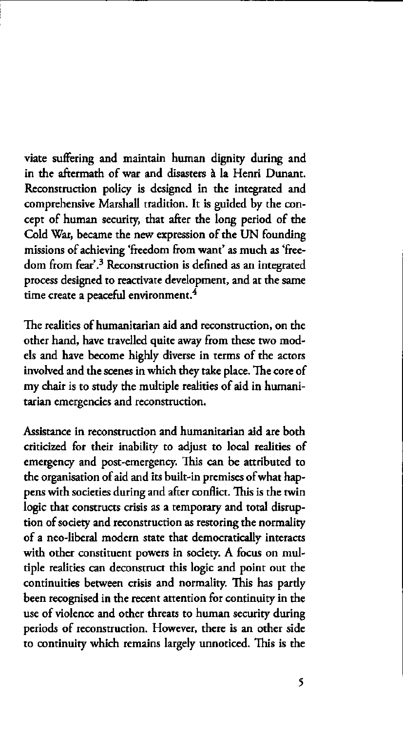viate suffering and maintain human dignity during and in the aftermath of war and disasters à la Henri Dunant. Reconstruction policy is designed in the integrated and comprehensive Marshall tradition. It is guided by the concept of human security, that after the long period of the Cold War, became the new expression of the UN founding missions of achieving 'freedom from want' as much as 'freedom from fear'.<sup>3</sup> Reconstruction is defined as an integ process designed to reactivate development, and at the same time create a peaceful environment.<sup>4</sup>

The realities of humanitarian aid and reconstruction, on the other hand, have travelled quite away from these two models and have become highly diverse in terms of the actors involved and the scenes in which they take place. The core of my chair is to study the multiple realities of aid in humanitarian emergencies and reconstruction.

Assistance in reconstruction and humanitarian aid are both criticized for their inability to adjust to local realities of emergency and post-emergency. This can be attributed to the organisation of aid and its built-in premises of what happens with societies during and after conflict. This is the twin logic that constructs crisis as a temporary and total disruption of society and reconstruction as restoring the normality of a neo-liberal modern state that democratically interacts with other constituent powers in society. A focus on multiple realities can deconstruct this logic and point out the continuities between crisis and normality. This has pardy been recognised in the recent attention for continuity in the use of violence and other threats to human security during periods of reconstruction. However, there is an other side to continuity which remains largely unnoticed. This is the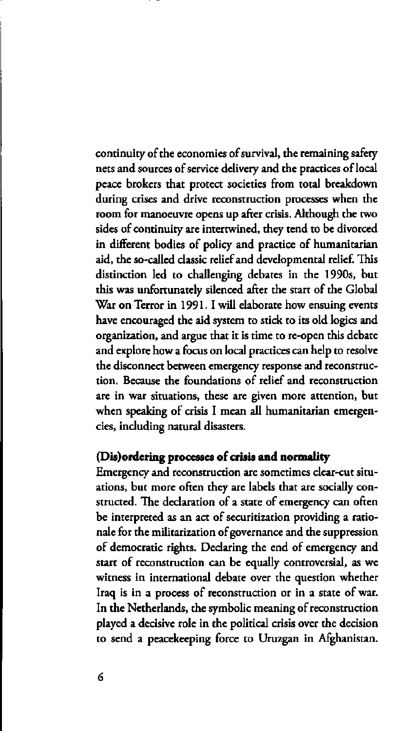continuity of the economies of survival, the remaining safety nets and sources of service delivery and the practices of local peace brokers that protect societies from total breakdown during crises and drive reconstruction processes when the room for manoeuvre opens up after crisis. Although the two sides of continuity are intertwined, they tend to be divorced in different bodies of policy and practice of humanitarian aid, the so-called classic relief and developmental relief. This distinction led to challenging debates in the 1990s, but this was unfortunately silenced after the start of the Global War on Terror in 1991. I will elaborate how ensuing events have encouraged the aid system to stick to its old logics and organization, and argue that it is time to re-open this debate and explore how a focus on local practices can help to resolve the disconnect between emergency response and reconstruction. Because the foundations of relief and reconstruction are in war situations, these are given more attention, but when speaking of crisis I mean all humanitarian emergencies, including natural disasters.

# **(Dis) ordering processes of crisis and normality**

Emergency and reconstruction are sometimes clear-cut situations, but more often they are labels that are socially constructed. The declaration of a state of emergency can often be interpreted as an act of securitization providing a rationale for the militarization of governance and the suppression of democratic rights. Declaring the end of emergency and start of reconstruction can be equally controversial, as we witness in international debate over the question whether Iraq is in a process of reconstruction or in a state of war. In the Netherlands, the symbolic meaning of reconstruction played a decisive role in the political crisis over the decision to send a peacekeeping force to Uruzgan in Afghanistan.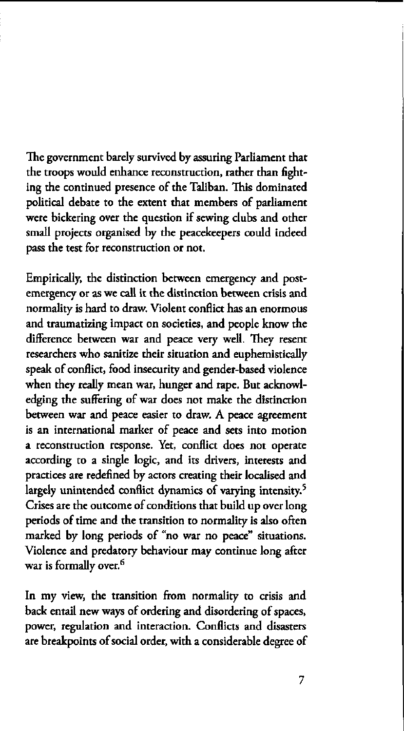The government barely survived by assuring Parliament that the troops would enhance reconstruction, rather than fighting the continued presence of the Taliban. This dominated political debate to the extent that members of parliament were bickering over the question if sewing clubs and other small projects organised by the peacekeepers could indeed pass the test for reconstruction or not.

Empirically, the distinction between emergency and postemergency or as we call it the distinction between crisis and normality is hard to draw. Violent conflict has an enormous and traumatizing impact on societies, and people know the difference between war and peace very well. They resent researchers who sanitize their situation and euphemistically speak of conflict, food insecurity and gender-based violence when they really mean war, hunger and rape. But acknowledging the suffering of war does not make the distinction between war and peace easier to draw. A peace agreement is an international marker of peace and sets into motion a reconstruction response. Yet, conflict does not operate according to a single logic, and its drivers, interests and practices are redefined by actors creating their localised and largely unintended conflict dynamics of varying intensity.<sup>5</sup> Crises are the outcome of conditions that build up over long periods of time and the transition to normality is also often marked by long periods of "no war no peace" situations. Violence and predatory behaviour may continue long after war is formally over.<sup>6</sup>

In my view, the transition from normality to crisis and back entail new ways of ordering and disordering of spaces, power, regulation and interaction. Conflicts and disasters are breakpoints of social order, with a considerable degree of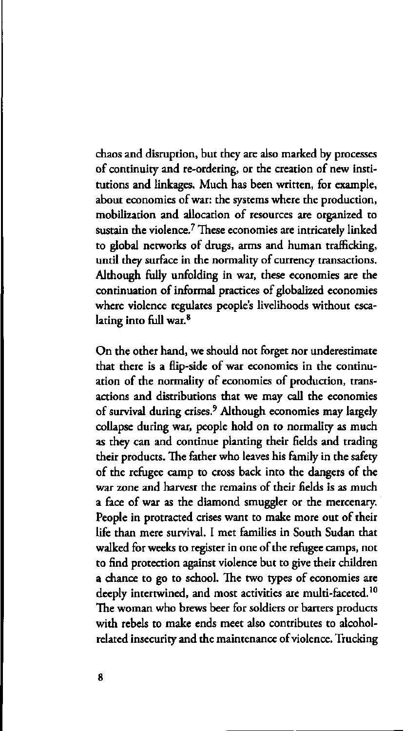chaos and disruption, but they are also marked by processes of continuity and re-ordering, or the creation of new institutions and linkages. Much has been written, for example, about economies of war: the systems where the production, mobilization and allocation of resources are organized to sustain the violence. $7$  These economies are intricately linked the  $\alpha$ to global networks of drugs, arms and human trafficking, until they surface in the normality of currency transactions. Although fully unfolding in war, these economies are the continuation of informal practices of globalized economies where violence regulates people's livelihoods without escalating into full war.<sup>8</sup>

On the other hand, we should not forget nor underestimate that there is a flip-side of war economies in the continuation of the normality of economies of production, transactions and distributions that we may call the economies of survival during crises.<sup>9</sup> Although economies may lar collapse during war, people hold on to normality as much as they can and continue planting their fields and trading their products. The father who leaves his family in the safety of the refugee camp to cross back into the dangers of the war zone and harvest the remains of their fields is as much a face of war as the diamond smuggler or the mercenary. People in protracted crises want to make more out of their life than mere survival. I met families in South Sudan that walked for weeks to register in one of the refugee camps, not to find protection against violence but to give their children a chance to go to school. The two types of economies are deeply intertwined, and most activities are multi-faceted.<sup>10</sup> The woman who brews beer for soldiers or barters products with rebels to make ends meet also contributes to alcoholrelated insecurity and the maintenance of violence. Trucking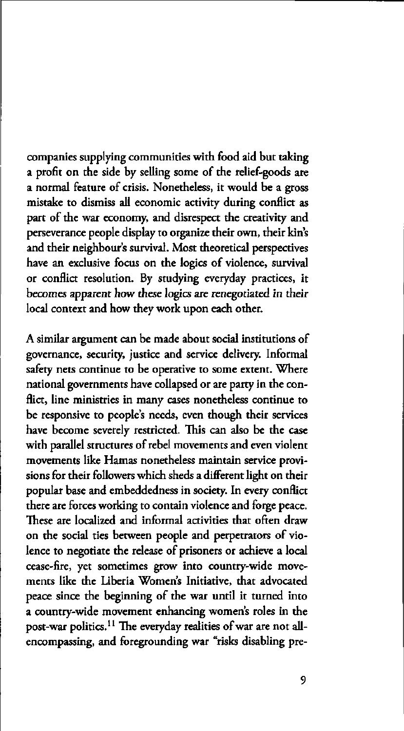companies supplying communities with food aid but taking a profit on the side by selling some of the relief-goods are a normal feature of crisis. Nonetheless, it would be a gross mistake to dismiss all economic activity during conflict as part of the war economy, and disrespect the creativity and perseverance people display to organize their own, their kin's and their neighbour's survival. Most theoretical perspectives have an exclusive focus on the logics of violence, survival or conflict resolution. By studying everyday practices, it becomes apparent how these logics are renegotiated in their local context and how they work upon each other.

A similar argument can be made about social institutions of governance, security, justice and service delivery. Informal safety nets continue to be operative to some extent. Where national governments have collapsed or are party in the conflict, line ministries in many cases nonetheless continue to be responsive to people's needs, even though their services have become severely restricted. This can also be the case with parallel structures of rebel movements and even violent movements like Hamas nonetheless maintain service provisions for their followers which sheds a different light on their popular base and embeddedness in society. In every conflict there are forces working to contain violence and forge peace. These are localized and informal activities that often draw on the social ties between people and perpetrators of violence to negotiate the release of prisoners or achieve a local cease-fire, yet sometimes grow into country-wide movements like the Liberia Women's Initiative, that advocated peace since the beginning of the war until it turned into a country-wide movement enhancing women's roles in the post-war politics.<sup>11</sup> The everyday realities of war are n encompassing, and foregrounding war "risks disabling pre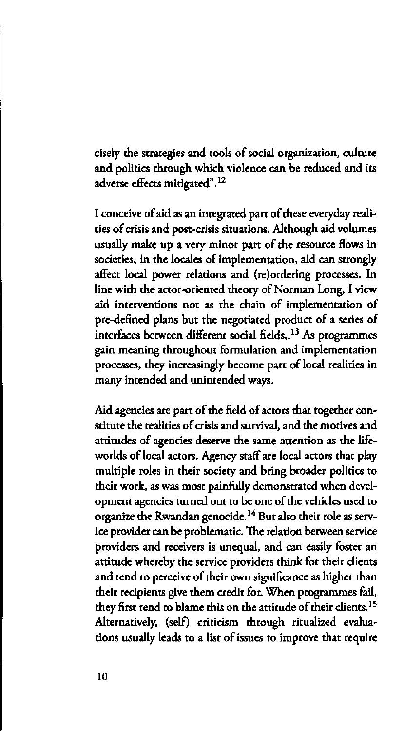cisely the strategies and tools of social organization, culture and politics through which violence can be reduced and its adverse effects mitigated".<sup>12</sup>

I conceive of aid as an integrated part of these everyday realities of crisis and post-crisis situations. Although aid volumes usually make up a very minor part of the resource flows in societies, in the locales of implementation, aid can strongly affect local power relations and (re)ordering processes. In line with the actor-oriented theory of Norman Long, I view aid interventions not as the chain of implementation of pre-defined plans but the negotiated product of a series of interfaces between different social fields,.<sup>13</sup> As programmes gain meaning throughout formulation and implementation processes, they increasingly become part of local realities in many intended and unintended ways.

Aid agencies are part of the field of actors that together constitute the realities of crisis and survival, and the motives and attitudes of agencies deserve the same attention as the lifeworlds of local actors. Agency staff are local actors that play multiple roles in their society and bring broader politics to their work, as was most painfully demonstrated when development agencies turned out to be one of the vehicles used to organize the Rwandan genocide.<sup>14</sup> But also their role as ice provider can be problematic. The relation between service providers and receivers is unequal, and can easily foster an attitude whereby the service providers think for their clients and tend to perceive of their own significance as higher than their recipients give them credit for. When programmes fail, they first tend to blame this on the attitude of their clients.<sup>15</sup> Alternatively, (self) criticism through ritualized evaluations usually leads to a list of issues to improve that require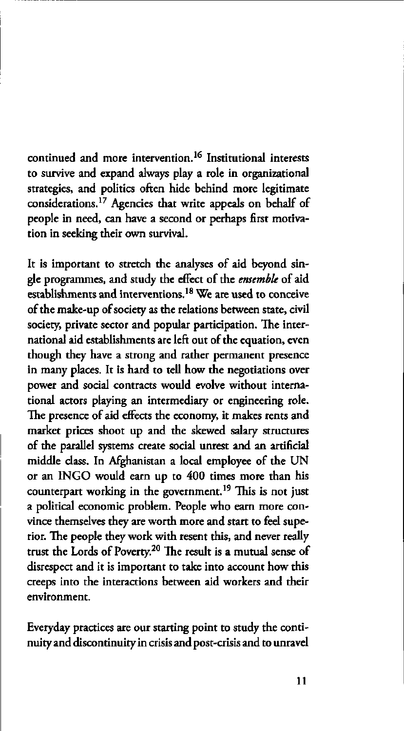continued and more intervention.<sup>16</sup> Institutional inter to survive and expand always play a role in organizational strategies, and politics often hide behind more legitimate considerations.<sup>17</sup> Agencies that write appeals on beha people in need, can have a second or perhaps first motivation in seeking their own survival.

It is important to stretch the analyses of aid beyond single programmes, and study the effect of the *ensemble* of aid establishments and interventions.<sup>18</sup> We are used to conof the make-up of society as the relations between state, civil society, private sector and popular participation. The international aid establishments are left out of the equation, even though they have a strong and rather permanent presence in many places. It is hard to tell how the negotiations over power and social contracts would evolve without international actors playing an intermediary or engineering role. The presence of aid effects the economy, it makes rents and market prices shoot up and the skewed salary structures of the parallel systems create social unrest and an artificial middle class. In Afghanistan a local employee of the UN or an INGO would earn up to 400 times more than his counterpart working in the government.<sup>19</sup> This is no a political economic problem. People who earn more convince themselves they are worth more and start to feel superior. The people *they* work with resent this, and never really trust the Lords of Poverty.<sup>20</sup> The result is a mutual s disrespect and it is important to take into account how this creeps into the interactions between aid workers and their environment.

Everyday practices are our starting point to study the continuity and discontinuity in crisis and post-crisis and to unravel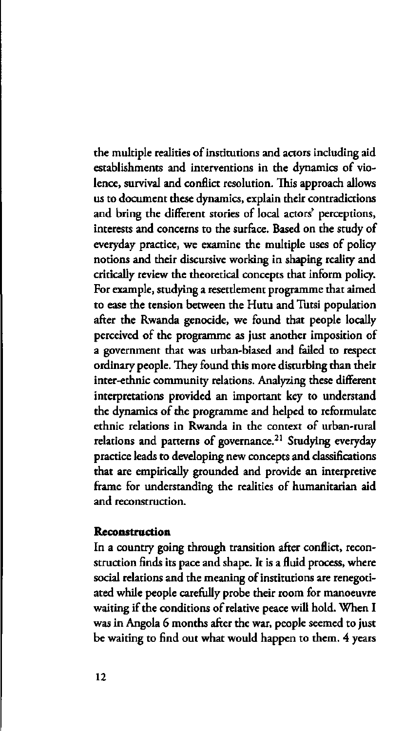the multiple realities of institutions and actors including aid establishments and interventions in the dynamics of violence, survival and conflict resolution. This approach allows us to document these dynamics, explain their contradictions and bring the different stories of local actors' perceptions, interests and concerns to the surface. Based on the study of everyday practice, we examine the multiple uses of policy notions and their discursive working in shaping reality and critically review the theoretical concepts that inform policy. For example, studying a resettlement programme that aimed to ease the tension between the Hutu and Tutsi population after the Rwanda genocide, we found that people locally perceived of the programme as just another imposition of a government that was urban-biased and failed to respect ordinary people. They found this more disturbing than their inter-ethnic community relations. Analyzing these different interpretations provided an important key to understand the dynamics of the programme and helped to reformulate ethnic relations in Rwanda in the context of urban-rural relations and patterns of governance.<sup>21</sup> Studving every practice leads to developing new concepts and classifications that are empirically grounded and provide an interpretive frame for understanding the realities of humanitarian aid and reconstruction.

#### **Reconstruction**

In a country going through transition after conflict, reconstruction finds its pace and shape. It is a fluid process, where social relations and the meaning of institutions are renegotiated while people carefully probe their room for manoeuvre waiting if the conditions of relative peace will hold. When I was in Angola 6 months after the war, people seemed to just be waiting to find out what would happen to them. 4 years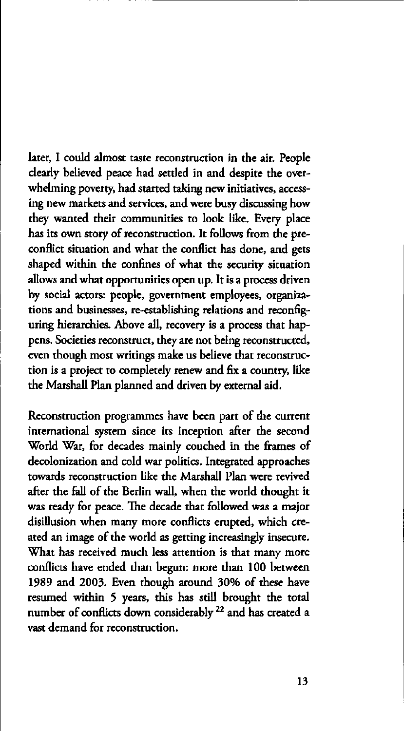later, I could almost taste reconstruction in the air. People clearly believed peace had settled in and despite the overwhelming poverty, had started taking new initiatives, accessing new markets and services, and were busy discussing how they wanted their communities to look like. Every place has its own story of reconstruction. It follows from the preconflict situation and what the conflict has done, and gets shaped within the confines of what the security situation allows and what opportunities open up. It is a process driven by social actors: people, government employees, organizations and businesses, re-establishing relations and reconfiguring hierarchies. Above all, recovery is a process that happens. Societies reconstruct, they are not being reconstructed, even though most writings make us believe that reconstruction is a project to completely renew and fix a country, like the Marshall Plan planned and driven by external aid.

Reconstruction programmes have been part of the current international system since its inception after the second World War, for decades mainly couched in the frames of decolonization and cold war politics. Integrated approaches towards reconstruction like the Marshall Plan were revived after the fall of the Berlin wall, when the world thought it was ready for peace. The decade that followed was a major disillusion when many more conflicts erupted, which created an image of the world as getting increasingly insecure. What has received much less attention is that many more conflicts have ended than begun: more than 100 between 1989 and 2003. Even though around 30% of these have resumed within 5 years, this has still brought the total number of conflicts down considerably  $^{22}$  and has cre vast demand for reconstruction.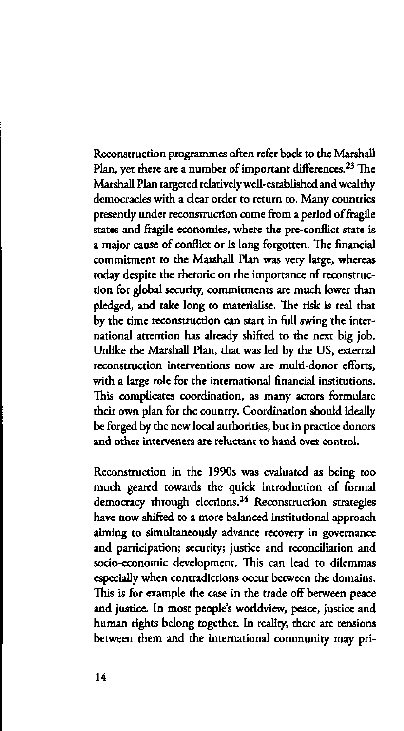Reconstruction programmes often refer back to the Marshall Plan, yet there are a number of important differences.<sup>2</sup> Marshall Plan targeted relatively well-established and wealthy democracies with a clear order to return to. Many countries presendy under reconstruction come from a period of fragile states and fragile economies, where the pre-conflict state is a major cause of conflict or is long forgotten. The financial commitment to the Marshall Plan was very large, whereas today despite the rhetoric on the importance of reconstruction for global security, commitments are much lower than pledged, and take long to materialise. The risk is real that by the time reconstruction can start in full swing the international attention has already shifted to the next big job. Unlike the Marshall Plan, that was led by the US, external reconstruction interventions now are multi-donor efforts, with a large role for the international financial institutions. This complicates coordination, as many actors formulate their own plan for the country. Coordination should ideally be forged by the new local authorities, but in practice donors and other interveners are reluctant to hand over control.

Reconstruction in the 1990s was evaluated as being too much geared towards the quick introduction of formal democracy through elections.<sup>24</sup> Reconstruction strateg have now shifted to a more balanced institutional approach aiming to simultaneously advance recovery in governance and participation; security; justice and reconciliation and socio-economic development. This can lead to dilemmas especially when contradictions occur between the domains. This is for example the case in the trade off between peace and justice. In most people's worldview, peace, justice and human rights belong together. In reality, there are tensions between them and the international community may pri-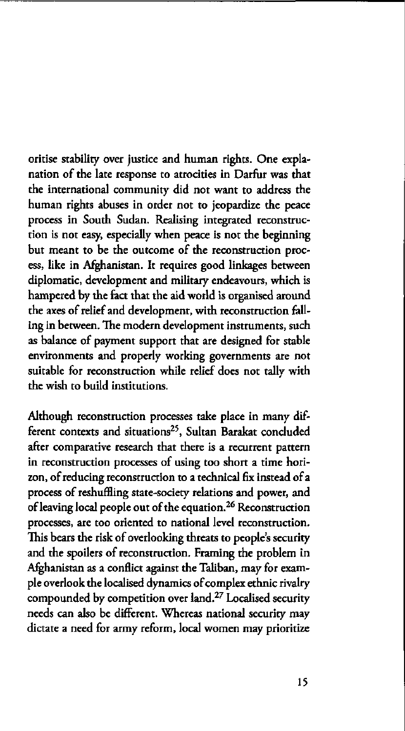oritise stability over justice and human rights. One explanation of the late response to atrocities in Darfur was that the international community did not want to address the human rights abuses in order not to jeopardize the peace process in South Sudan. Realising integrated reconstruction is not easy, especially when peace is not the beginning but meant to be the outcome of the reconstruction process, like in Afghanistan. It requires good linkages between diplomatic, development and military endeavours, which is hampered by the fact that the aid world is organised around the axes of relief and development, with reconstruction falling in between. The modern development instruments, such as balance of payment support that are designed for stable environments and properly working governments are not suitable for reconstruction while relief does not tally with the wish to build institutions.

Although reconstruction processes take place in many different contexts and situations<sup>25</sup>, Sultan Barakat conclu after comparative research that there is a recurrent pattern in reconstruction processes of using too short a time horizon, of reducing reconstruction to a technical fix instead of a process of reshuffling state-society relations and power, and of leaving local people out of the equation.<sup>26</sup> Reconstru processes, are too oriented to national level reconstruction. This bears the risk of overlooking threats to people's security and the spoilers of reconstruction. Framing the problem in Afghanistan as a conflict against the Taliban, may for example overlook the localised dynamics of complex ethnic rivalry compounded by competition over land.<sup>27</sup> Localised secu needs can also be different. Whereas national security may dictate a need for army reform, local women may prioritize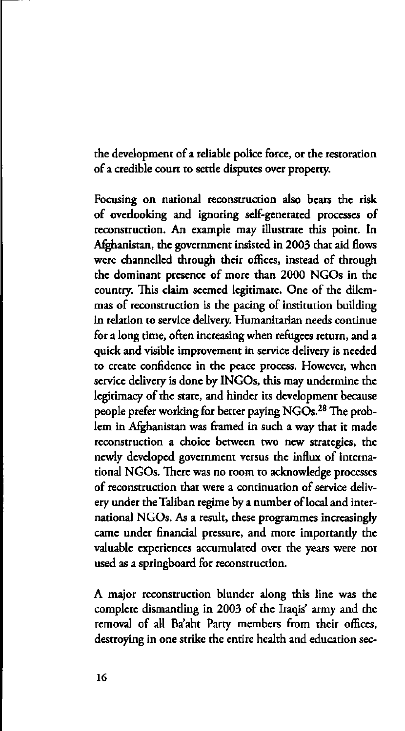the development of a reliable police force, or the restoration of a credible court to setde disputes over property.

Focusing on national reconstruction also bears the risk of overlooking and ignoring self-generated processes of reconstruction. An example may illustrate this point. In Afghanistan, the government insisted in 2003 that aid flows were channelled through their offices, instead of through the dominant presence of more than 2000 NGOs in the country. This claim seemed legitimate. One of the dilemmas of reconstruction is the pacing of institution building in relation to service delivery. Humanitarian needs continue for a long time, often increasing when refugees return, and a quick and visible improvement in service delivery is needed to create confidence in the peace process. However, when service delivery is done by INGOs, this may undermine the legitimacy of the state, and hinder its development because people prefer working for better paying NGOs.<sup>28</sup> The lem in Afghanistan was framed in such a way that it made reconstruction a choice between two new strategies, the newly developed government versus the influx of international NGOs. There was no room to acknowledge processes of reconstruction that were a continuation of service delivery under the Taliban regime by a number of local and international NGOs. As a result, these programmes increasingly came under financial pressure, and more importandy the valuable experiences accumulated over the years were not used as a springboard for reconstruction.

A major reconstruction blunder along this line was the complete dismanding in 2003 of the Iraqis' army and the removal of all Ba'aht Party members from their offices, destroying in one strike the entire health and education sec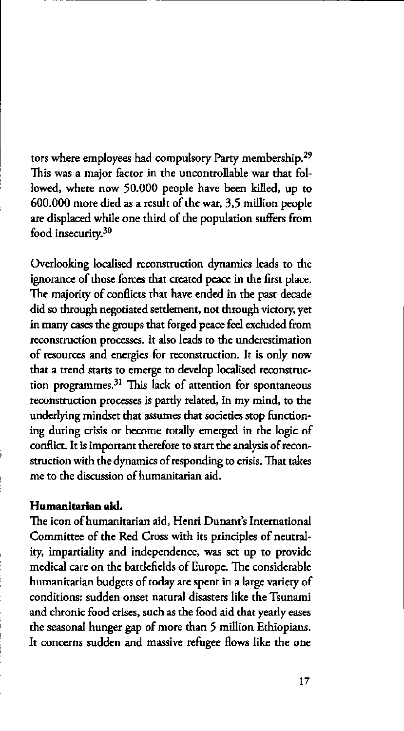tors where employees had compulsory Party membership.<sup>29</sup> This was a major factor in the uncontrollable war that followed, where now 50.000 people have been killed, up to 600.000 more died as a result of the war, 3,5 million people are displaced while one third of the population suffers from food insecurity.<sup>30</sup>

Overlooking localised reconstruction dynamics leads to the ignorance of those forces that created peace in the first place. The majority of conflicts that have ended in the past decade did so through negotiated settlement, not through victory, yet in many cases the groups that forged peace feel excluded from reconstruction processes. It also leads to the underestimation of resources and energies for reconstruction. It is only now that a trend starts to emerge to develop localised reconstruction programmes.<sup>31</sup> This lack of attention for spontane reconstruction processes is pardy related, in my mind, to the underlying mindset that assumes that societies stop functioning during crisis or become totally emerged in the logic of conflict. It is important therefore to start the analysis of reconstruction with the dynamics of responding to crisis. That takes me to the discussion of humanitarian aid.

#### **Humanitarian aid.**

The icon of humanitarian aid, Henri Dunant's International Committee of the Red Cross with its principles of neutrality, impartiality and independence, was set up to provide medical care on the batdefields of Europe. The considerable humanitarian budgets of today are spent in a large variety of conditions: sudden onset natural disasters like the Tsunami and chronic food crises, such as the food aid that yearly eases the seasonal hunger gap of more than 5 million Ethiopians. It concerns sudden and massive refugee flows like the one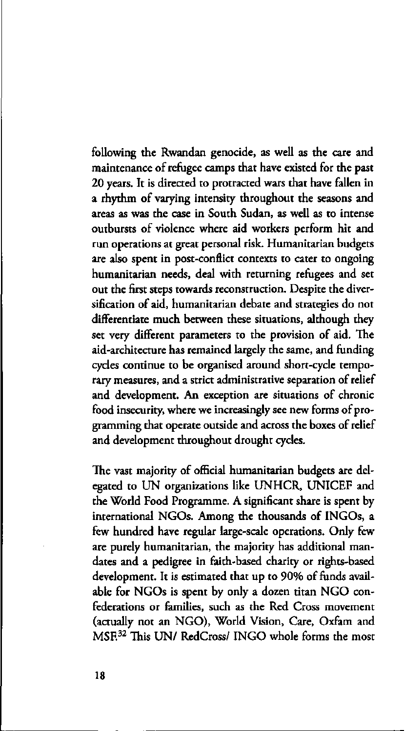following the Rwandan genocide, as well as the care and maintenance of refugee camps that have existed for the past 20 years. It is directed to protracted wars that have fallen in a rhythm of varying intensity throughout the seasons and areas as was the case in South Sudan, as well as to intense outbursts of violence where aid workers perform hit and run operations at great personal risk. Humanitarian budgets are also spent in post-conflict contexts to cater to ongoing humanitarian needs, deal with returning refugees and set out the first steps towards reconstruction. Despite the diversification of aid, humanitarian debate and strategies do not differentiate much between these situations, although they set very different parameters to the provision of aid. The aid-architecture has remained largely the same, and funding cycles continue to be organised around short-cycle temporary measures, and a strict administrative separation of relief and development. An exception are situations of chronic food insecurity, where we increasingly see new forms of programming that operate outside and across the boxes of relief and development throughout drought cycles.

The vast majority of official humanitarian budgets are delegated to UN organizations like UNHCR, UNICEF and the World Food Programme. A significant share is spent by international NGOs. Among the thousands of INGOs, a few hundred have regular large-scale operations. Only few are purely humanitarian, the majority has additional mandates and a pedigree in faith-based charity or rights-based development. It is estimated that up to 90% of funds available for NGOs is spent by only a dozen titan NGO confederations or families, such as the Red Cross movement (actually not an NGO), World Vision, Care, Oxfam and MSF.<sup>32</sup> This UN/ RedCross/ INGO whole forms the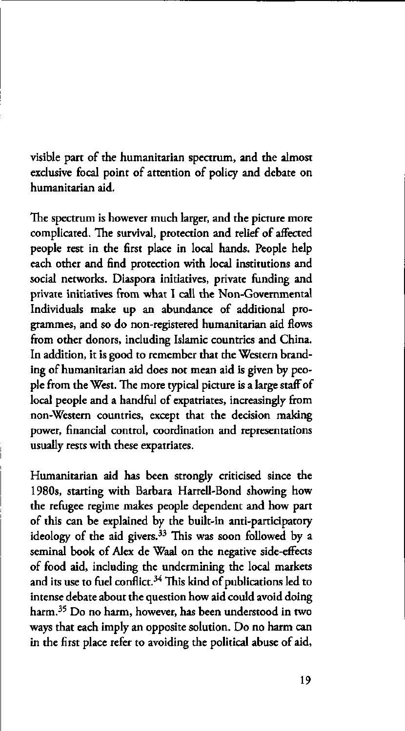visible part of the humanitarian spectrum, and the almost exclusive focal point of attention of policy and debate on humanitarian aid.

The spectrum is however much larger, and the picture more complicated. The survival, protection and relief of affected people rest in the first place in local hands. People help each other and find protection with local institutions and social networks. Diaspora initiatives, private funding and private initiatives from what I call the Non-Governmental Individuals make up an abundance of additional programmes, and so do non-registered humanitarian aid flows from other donors, including Islamic countries and China. In addition, it is good to remember that the Western branding of humanitarian aid does not mean aid is given by people from the West. The more typical picture is a large staff of local people and a handful of expatriates, increasingly from non-Western countries, except that the decision making power, financial control, coordination and representations usually rests with these expatriates.

Humanitarian aid has been strongly criticised since the 1980s, starting with Barbara Harrell-Bond showing how the refugee regime makes people dependent and how part of this can be explained by the built-in anti-participatory ideology of the aid givers.<sup>33</sup> This was soon followed seminal book of Alex de Waal on the negative side-effects of food aid, including the undermining the local markets and its use to fuel conflict. $34$  This kind of publication intense debate about the question how aid could avoid doing harm.<sup>35</sup> Do no harm, however, has been understood i ways that each imply an opposite solution. Do no harm can in the first place refer to avoiding the political abuse of aid,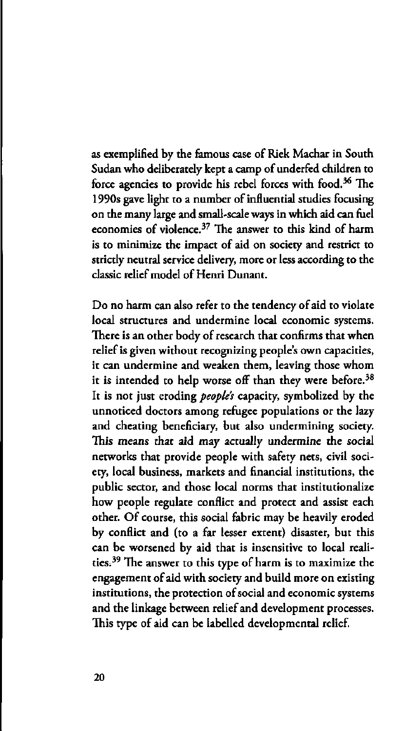as exemplified by the famous case of Riek Machar in South Sudan who deliberately kept a camp of underfed children to force agencies to provide his rebel forces with food.<sup>3</sup> 1990s gave light to a number of influential studies focusing on the many large and small-scale ways in which aid can fuel economies of violence.<sup>37</sup> The answer to this kind of is to minimize the impact of aid on society and restrict to strictly neutral service delivery, more or less according to the classic relief model of Henri Dunant.

Do no harm can also refer to the tendency of aid to violate local structures and undermine local economic systems. There is an other body of research that confirms that when relief is given without recognizing people's own capacities, it can undermine and weaken them, leaving those whom it is intended to help worse off than they were before. $38$ It is not just eroding *peoples* capacity, symbolized by the unnoticed doctors among refugee populations or the lazy and cheating beneficiary, but also undermining society. This means that aid may actually undermine the social networks that provide people with safety nets, civil society, local business, markets and financial institutions, the public sector, and those local norms that institutionalize how people regulate conflict and protect and assist each other. Of course, this social fabric may be heavily eroded by conflict and (to a far lesser extent) disaster, but this can be worsened by aid that is insensitive to local realities.<sup>39</sup> The answer to this type of harm is to maxim engagement of aid with society and build more on existing institutions, the protection of social and economic systems and the linkage between relief and development processes. This type of aid can be labelled developmental relief.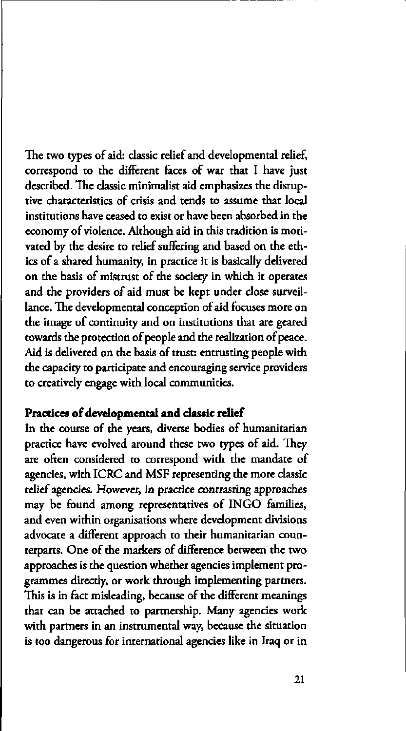The two types of aid: classic relief and developmental relief, correspond to the different faces of war that I have just described. The classic minimalist aid emphasizes the disruptive characteristics of crisis and tends to assume that local institutions have ceased to exist or have been absorbed in the economy of violence. Although aid in this tradition is motivated by the desire to relief suffering and based on the ethics of a shared humanity, in practice it is basically delivered on the basis of mistrust of the society in which it operates and the providers of aid must be kept under close surveillance. The developmental conception of aid focuses more on the image of continuity and on institutions that are geared towards the protection of people and the realization of peace. Aid is delivered on the basis of trust: entrusting people with the capacity to participate and encouraging service providers to creatively engage with local communities.

# **Practices of developmental and classic relief**

In the course of the years, diverse bodies of humanitarian practice have evolved around these two types of aid. They are often considered to correspond with the mandate of agencies, with ICRC and MSF representing the more classic relief agencies. However, in practice contrasting approaches may be found among representatives of INGO families, and even within organisations where development divisions advocate a different approach to their humanitarian counterparts. One of the markers of difference between the two approaches is the question whether agencies implement programmes directly, or work through implementing partners. This is in fact misleading, because of the different meanings that can be attached to partnership. Many agencies work with partners in an instrumental way, because the situation is too dangerous for international agencies like in Iraq or in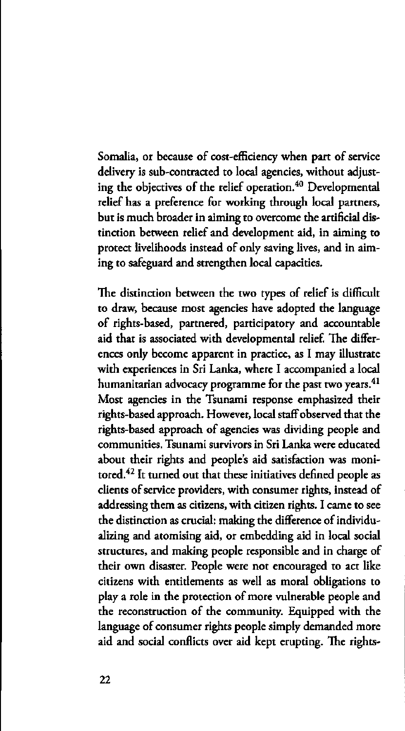Somalia, or because of cost-efficiency when part of service delivery is sub-contracted to local agencies, without adjusting the objectives of the relief operation.<sup>40</sup> Developme relief has a preference for working through local partners, but is much broader in aiming to overcome the artificial distinction between relief and development aid, in aiming to protect livelihoods instead of only saving lives, and in aiming to safeguard and strengthen local capacities.

The distinction between the two types of relief is difficult to draw, because most agencies have adopted the language of rights-based, partnered, participatory and accountable aid that is associated with developmental relief. The differences only become apparent in practice, as I may illustrate with experiences in Sri Lanka, where I accompanied a local humanitarian advocacy programme for the past two years.<sup>41</sup> Most agencies in the Tsunami response emphasized their rights-based approach. However, local staff observed that the rights-based approach of agencies was dividing people and communities. Tsunami survivors in Sri Lanka were educated about their rights and people's aid satisfaction was monitored.<sup>42</sup> It turned out that these initiatives defined peo clients of service providers, with consumer rights, instead of addressing them as citizens, with citizen rights. I came to see the distinction as crucial: making the difference of individualizing and atomising aid, or embedding aid in local social structures, and making people responsible and in charge of their own disaster. People were not encouraged to act like citizens with entidements as well as moral obligations to play a role in the protection of more vulnerable people and the reconstruction of the community. Equipped with the language of consumer rights people simply demanded more aid and social conflicts over aid kept erupting. The rights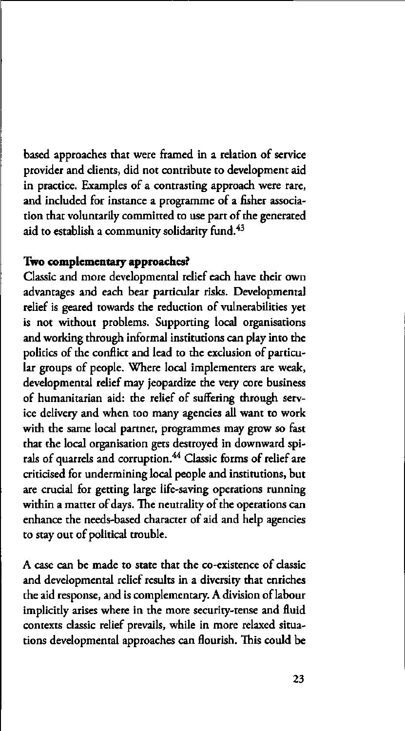based approaches that were framed in a relation of service provider and clients, did not contribute to development aid in practice. Examples of a contrasting approach were rare, and included for instance a programme of a fisher association that voluntarily committed to use part of the generated aid to establish a community solidarity fund.<sup>43</sup>

### **Two complementary approaches?**

Classic and more developmental relief each have their own advantages and each bear particular risks. Developmental relief is geared towards the reduction of vulnerabilities yet is not without problems. Supporting local organisations and working through informal institutions can play into the politics of the conflict and lead to the exclusion of particular groups of people. Where local implementers are weak, developmental relief may jeopardize the very core business of humanitarian aid: the relief of suffering through service delivery and when too many agencies all want to work with the same local partner, programmes may grow so fast that the local organisation gets destroyed in downward spirals of quarrels and corruption.<sup>44</sup> Classic forms of reli criticised for undermining local people and institutions, but are crucial for getting large life-saving operations running within a matter of days. The neutrality of the operations can enhance the needs-based character of aid and help agencies to stay out of political trouble.

A case can be made to state that the co-existence of classic and developmental relief results in a diversity that enriches the aid response, and is complementary. A division of labour implicidy arises where in the more security-tense and fluid contexts classic relief prevails, while in more relaxed situations developmental approaches can flourish. This could be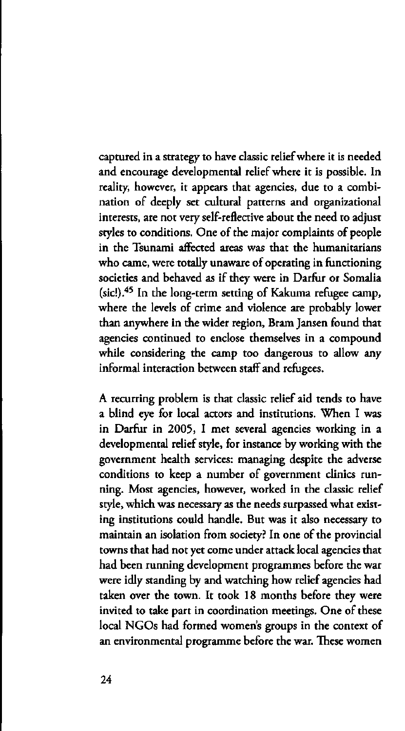captured in a strategy to have classic relief where it is needed and encourage developmental relief where it is possible. In reality, however, it appears that agencies, due to a combination of deeply set cultural patterns and organizational interests, are not very self-reflective about the need to adjust styles to conditions. One of the major complaints of people in the Tsunami affected areas was that the humanitarians who came, were totally unaware of operating in functioning societies and behaved as if they were in Darfur or Somalia (sic!).<sup>45</sup> In the long-term setting of Kakuma refugee c where the levels of crime and violence are probably lower than anywhere in the wider region, Bram Jansen found that agencies continued to enclose themselves in a compound while considering the camp too dangerous to allow any informal interaction between staff and refugees.

A recurring problem is that classic relief aid tends to have a blind eye for local actors and institutions. When I was in Darfur in 2005, I met several agencies working in a developmental relief style, for instance by working with the government health services: managing despite the adverse conditions to keep a number of government clinics running. Most agencies, however, worked in the classic relief style, which was necessary as the needs surpassed what existing institutions could handle. But was it also necessary to maintain an isolation from society? In one of the provincial towns that had not yet come under attack local agencies that had been running development programmes before the war were idly standing by and watching how relief agencies had taken over the town. It took 18 months before they were invited to take part in coordination meetings. One of these local NGOs had formed women's groups in the context of an environmental programme before the war. These women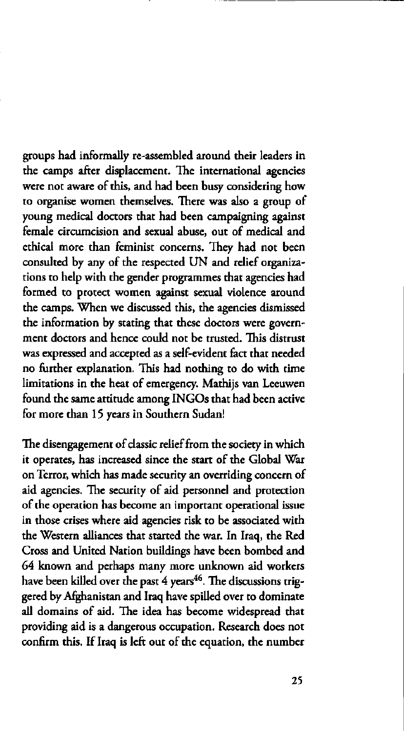groups had informally re-assembled around their leaders in the camps after displacement. The international agencies were not aware of this, and had been busy considering how to organise women themselves. There was also a group of young medical doctors that had been campaigning against female circumcision and sexual abuse, out of medical and ethical more than feminist concerns. They had not been consulted by any of the respected UN and relief organizations to help with the gender programmes that agencies had formed to protect women against sexual violence around the camps. When we discussed this, the agencies dismissed the information by stating that these doctors were government doctors and hence could not be trusted. This distrust was expressed and accepted as a self-evident fact that needed no further explanation. This had nothing to do with time limitations in the heat of emergency. Mathijs van Leeuwen found the same attitude among INGOs that had been active for more than 15 years in Southern Sudan!

The disengagement of classic relief from the society in which it operates, has increased since the start of the Global War on Terror, which has made security an overriding concern of aid agencies. The security of aid personnel and protection of the operation has become an important operational issue in those crises where aid agencies risk to be associated with the Western alliances that started the war. In Iraq, the Red Cross and United Nation buildings have been bombed and 64 known and perhaps many more unknown aid workers have been killed over the past 4 years<sup>46</sup>. The discussion gered by Afghanistan and Iraq have spilled over to dominate all domains of aid. The idea has become widespread that providing aid is a dangerous occupation. Research does not confirm this. If Iraq is left out of the equation, the number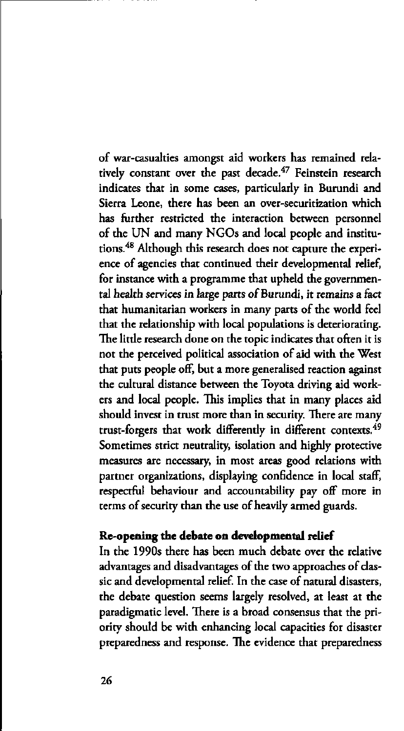of war-casualties amongst aid workers has remained relatively constant over the past decade.<sup>47</sup> Feinstein rese indicates that in some cases, particularly in Burundi and Sierra Leone, there has been an over-securitization which has further restricted the interaction between personnel of the UN and many NGOs and local people and institutions.<sup>48</sup> Although this research does not capture the ex ence of agencies that continued their developmental relief, for instance with a programme that upheld the governmental health services in large parts of Burundi, it remains a fact that humanitarian workers in many parts of the world feel that the relationship with local populations is deteriorating. The little research done on the topic indicates that often it is not the perceived political association of aid with the West that puts people off, but a more generalised reaction against the cultural distance between the Toyota driving aid workers and local people. This implies that in many places aid should invest in trust more than in security. There are many trust-forgers that work differently in different contexts.<sup>49</sup> Sometimes strict neutrality, isolation and highly protective measures are necessary, in most areas good relations with partner organizations, displaying confidence in local staff, respectful behaviour and accountability pay off more in terms of security than the use of heavily armed guards.

# **Re-opening the debate on developmental relief**

In the 1990s there has been much debate over the relative advantages and disadvantages of the two approaches of classic and developmental relief. In the case of natural disasters, the debate question seems largely resolved, at least at the paradigmatic level. There is a broad consensus that the priority should be with enhancing local capacities for disaster preparedness and response. The evidence that preparedness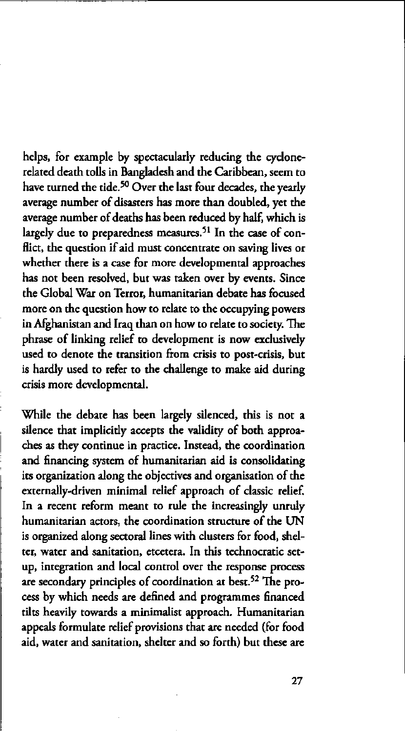helps, for example by spectacularly reducing the cyclonerelated death tolls in Bangladesh and the Caribbean, seem to have turned the tide.<sup>50</sup> Over the last four decades, the average number of disasters has more than doubled, yet the average number of deaths has been reduced by half, which is largely due to preparedness measures.<sup>51</sup> In the case of flict, the question if aid must concentrate on saving lives or whether there is a case for more developmental approaches has not been resolved, but was taken over by events. Since the Global War on Terror, humanitarian debate has focused more on the question how to relate to the occupying powers in Afghanistan and Iraq than on how to relate to society. The phrase of linking relief to development is now exclusively used to denote the transition from crisis to post-crisis, but is hardly used to refer to the challenge to make aid during crisis more developmental.

While the debate has been largely silenced, this is not a silence that implicidy accepts the validity of both approaches as they continue in practice. Instead, the coordination and financing system of humanitarian aid is consolidating its organization along the objectives and organisation of the externally-driven minimal relief approach of classic relief. In a recent reform meant to rule the increasingly unruly humanitarian actors, the coordination structure of the UN is organized along sectoral lines with clusters for food, shelter, water and sanitation, etcetera. In this technocratic setup, integration and local control over the response process are secondary principles of coordination at best.<sup>52</sup> The cess by which needs are defined and programmes financed tilts heavily towards a minimalist approach. Humanitarian appeals formulate relief provisions that are needed (for food aid, water and sanitation, shelter and so forth) but these are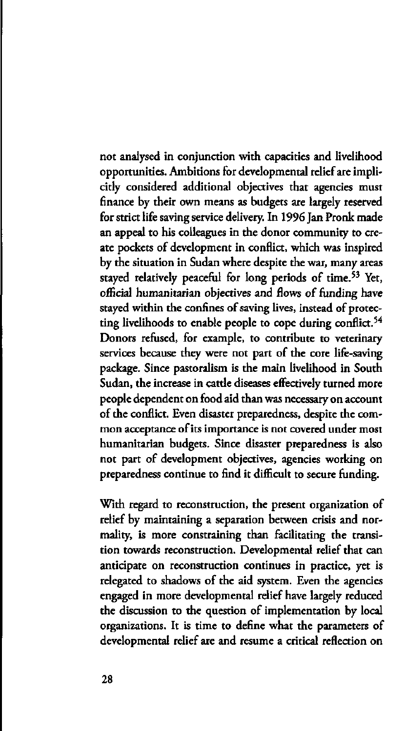not analysed in conjunction with capacities and livelihood opportunities. Ambitions for developmental relief are implicidy considered additional objectives that agencies must finance by their own means as budgets are largely reserved for strict life saving service delivery. In 1996 Jan Pronk made an appeal to his colleagues in the donor community to create pockets of development in conflict, which was inspired by the situation in Sudan where despite the war, many areas stayed relatively peaceful for long periods of time.<sup>53</sup> official humanitarian objectives and flows of funding have stayed within the confines of saving lives, instead of protecting livelihoods to enable people to cope during conflict.<sup>54</sup> Donors refused, for example, to contribute to veterinary services because they were not part of the core life-saving package. Since pastoralism is the main livelihood in South Sudan, the increase in cattle diseases effectively turned more people dependent on food aid than was necessary on account of the conflict. Even disaster preparedness, despite the common acceptance of its importance is not covered under most humanitarian budgets. Since disaster preparedness is also not part of development objectives, agencies working on preparedness continue to find it difficult to secure funding.

With regard to reconstruction, the present organization of relief by maintaining a separation between crisis and normality, is more constraining than facilitating the transition towards reconstruction. Developmental relief that can anticipate on reconstruction continues in practice, yet is relegated to shadows of the aid system. Even the agencies engaged in more developmental relief have largely reduced the discussion to the question of implementation by local organizations. It is time to define what the parameters of developmental relief are and resume a critical reflection on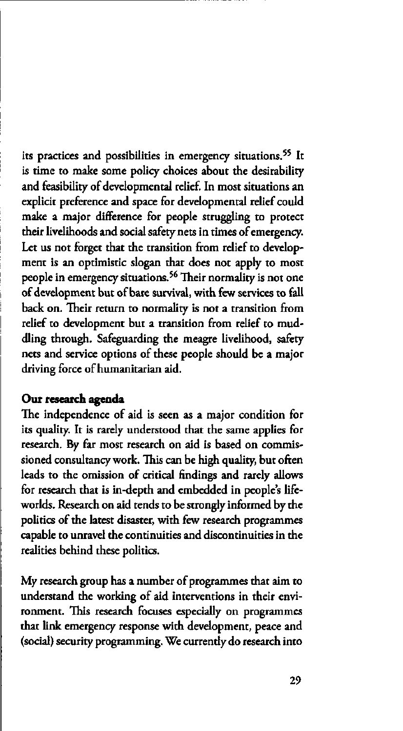its practices and possibilities in emergency situations. is time to make some policy choices about the desirability and feasibility of developmental relief. In most situations an explicit preference and space for developmental relief could make a major difference for people struggling to protect their livelihoods and social safety nets in times of emergency. Let us not forget that the transition from relief to development is an optimistic slogan that does not apply to most people in emergency situations.<sup>56</sup> Their normality is no of development but of bare survival, with few services to fall back on. Their return to normality is not a transition from relief to development but a transition from relief to muddling through. Safeguarding the meagre livelihood, safety nets and service options of these people should be a major driving force of humanitarian aid.

#### **Our research agenda**

The independence of aid is seen as a major condition for its quality. It is rarely understood that the same applies for research. By far most research on aid is based on commissioned consultancy work. This can be high quality, but often leads to the omission of critical findings and rarely allows for research that is in-depth and embedded in people's lifeworlds. Research on aid tends to be strongly informed by the politics of the latest disaster, with few research programmes capable to unravel the continuities and discontinuities in the realities behind these politics.

My research group has a number of programmes that aim to understand the working of aid interventions in their environment. This research focuses especially on programmes that link emergency response with development, peace and (social) security programming. We currently do research into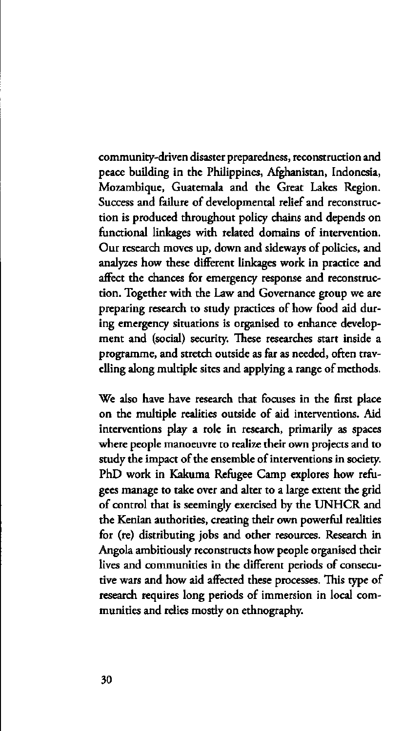community-driven disaster preparedness, reconstruction and peace building in the Philippines, Afghanistan, Indonesia, Mozambique, Guatemala and the Great Lakes Region. Success and failure of developmental relief and reconstruction is produced throughout policy chains and depends on functional linkages with related domains of intervention. Our research moves up, down and sideways of policies, and analyzes how these different linkages work in practice and affect the chances for emergency response and reconstruction. Together with the Law and Governance group we are preparing research to study practices of how food aid during emergency situations is organised to enhance development and (social) security. These researches start inside a programme, and stretch outside as far as needed, often travelling along multiple sites and applying a range of methods.

We also have have research that focuses in the first place on the multiple realities outside of aid interventions. Aid interventions play a role in research, primarily as spaces where people manoeuvre to realize their own projects and to study the impact of the ensemble of interventions in society. PhD work in Kakuma Refugee Camp explores how refugees manage to take over and alter to a large extent the grid of control that is seemingly exercised by the UNHCR and the Kenian authorities, creating their own powerful realities for (re) distributing jobs and other resources. Research in Angola ambitiously reconstructs how people organised their lives and communities in the different periods of consecutive wars and how aid affected these processes. This type of research requires long periods of immersion in local communities and relies mostly on ethnography.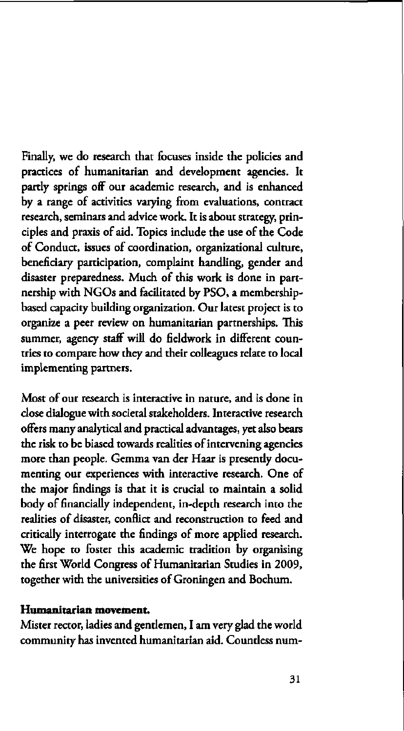Finally, we do research that focuses inside the policies and practices of humanitarian and development agencies. It partly springs off our academic research, and is enhanced by a range of activities varying from evaluations, contract research, seminars and advice work. It is about strategy, principles and praxis of aid. Topics include the use of the Code of Conduct, issues of coordination, organizational culture, beneficiary participation, complaint handling, gender and disaster preparedness. Much of this work is done in partnership with NGOs and facilitated by PSO, a membershipbased capacity building organization. Our latest project is to organize a peer review on humanitarian partnerships. This summer, agency staff will do fieldwork in different countries to compare how they and their colleagues relate to local implementing partners.

Most of our research is interactive in nature, and is done in close dialogue with societal stakeholders. Interactive research offers many analytical and practical advantages, yet also bears the risk to be biased towards realities of intervening agencies more than people. Gemma van der Haar is presendy documenting our experiences with interactive research. One of the major findings is that it is crucial to maintain a solid body of financially independent, in-depth research into the realities of disaster, conflict and reconstruction to feed and critically interrogate the findings of more applied research. We hope to foster this academic tradition by organising the first World Congress of Humanitarian Studies in 2009, together with the universities of Groningen and Bochum.

### **Humanitarian movement.**

Mister rector, ladies and gendemen, I am very glad the world community has invented humanitarian aid. Countless num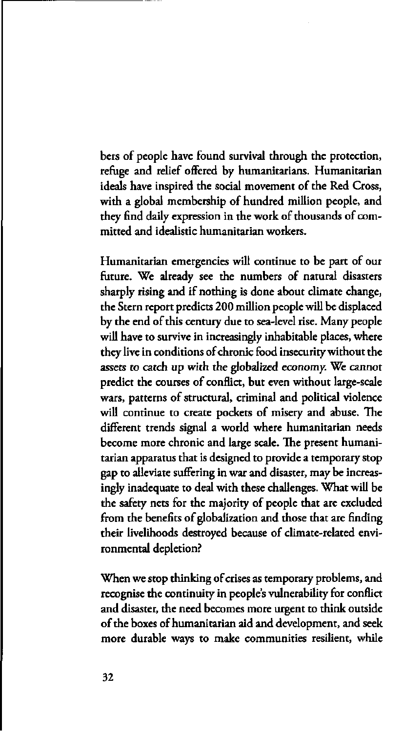bers of people have found survival through the protection, refuge and relief offered by humanitarians. Humanitarian ideals have inspired the social movement of the Red Cross, with a global membership of hundred million people, and they find daily expression in the work of thousands of committed and idealistic humanitarian workers.

Humanitarian emergencies will continue to be part of our future. We already see the numbers of natural disasters sharply rising and if nothing is done about climate change, the Stern report predicts 200 million people will be displaced by the end of this century due to sea-level rise. Many people will have to survive in increasingly inhabitable places, where they live in conditions of chronic food insecurity without the assets to catch up with the globalized economy. We cannot predict the courses of conflict, but even without large-scale wars, patterns of structural, criminal and political violence will continue to create pockets of misery and abuse. The different trends signal a world where humanitarian needs become more chronic and large scale. The present humanitarian apparatus that is designed to provide a temporary stop gap to alleviate suffering in war and disaster, may be increasingly inadequate to deal with these challenges. What will be the safety nets for the majority of people that are excluded from the benefits of globalization and those that are finding their livelihoods destroyed because of climate-related environmental depletion?

When we stop thinking of crises as temporary problems, and recognise the continuity in people's vulnerability for conflict and disaster, the need becomes more urgent to think outside of the boxes of humanitarian aid and development, and seek more durable ways to make communities resilient, while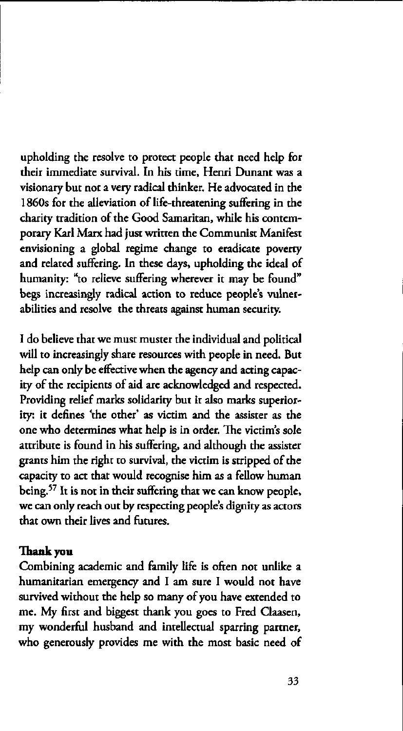upholding the resolve to protect people that need help for their immediate survival. In his time, Henri Ounant was a visionary but not a very radical thinker. He advocated in the 1860s for the alleviation of life-threatening suffering in the charity tradition of the Good Samaritan, while his contemporary Karl Marx had just written the Communist Manifest envisioning a global regime change to eradicate poverty and related suffering. In these days, upholding the ideal of humanity: "to relieve suffering wherever it may be found" begs increasingly radical action to reduce people's vulnerabilities and resolve the threats against human security.

I do believe that we must muster the individual and political will to increasingly share resources with people in need. But help can only be effective when the agency and acting capacity of the recipients of aid are acknowledged and respected. Providing relief marks solidarity but it also marks superiority: it defines 'the other' as victim and the assister as the one who determines what help is in order. The victim's sole attribute is found in his suffering, and although the assister grants him the right to survival, the victim is stripped of the capacity to act that would recognise him as a fellow human being.<sup>57</sup> It is not in their suffering that we can know we can only reach out by respecting people's dignity as actors that own their lives and futures.

#### **Thank you**

Combining academic and family life is often not unlike a humanitarian emergency and I am sure I would not have survived without the help so many of you have extended to me. My first and biggest thank you goes to Fred Claasen, my wonderful husband and intellectual sparring partner, who generously provides me with the most basic need of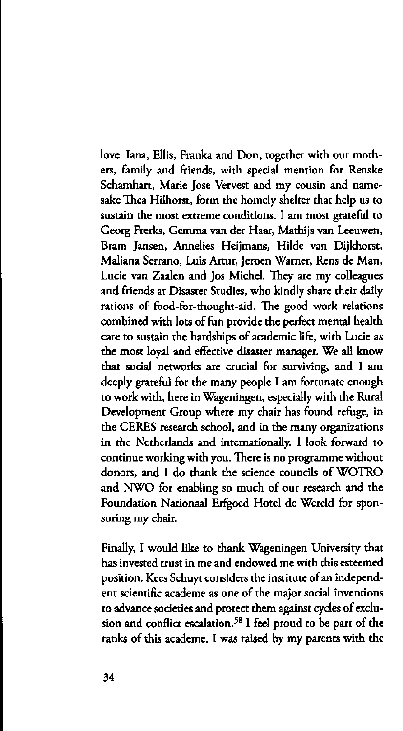love. Iana, Ellis, Franka and Don, together with our mothers, family and friends, with special mention for Renske Schamhart, Marie Jose Vervest and my cousin and namesake Thea Hilhorst, form the homely shelter that help us to sustain the most extreme conditions. I am most grateful to Georg Frerks, Gemma van der Haar, Mathijs van Leeuwen, Bram Jansen, Annelies Heijmans, Hilde van Dijkhorst, Maliana Serrano, Luis Artur, Jeroen Warner, Rens de Man, Lucie van Zaalen and Jos Michel. They are my colleagues and friends at Disaster Studies, who kindly share their daily rations of food-for-thought-aid. The good work relations combined with lots of fun provide the perfect mental health care to sustain the hardships of academic life, with Lucie as the most loyal and effective disaster manager. We all know that social networks are crucial for surviving, and I am deeply grateful for the many people I am fortunate enough to work with, here in Wageningen, especially with the Rural Development Group where my chair has found refuge, in the CERES research school, and in the many organizations in the Netherlands and internationally. I look forward to continue working with you. There is no programme without donors, and I do thank the science councils of WOTRO and NWO for enabling so much of our research and the Foundation Nationaal Erfgoed Hotel de Wereld for sponsoring my chair.

Finally, I would like to thank Wageningen University that has invested trust in me and endowed me with this esteemed position. Kees Schuyt considers the institute of an independent scientific academe as one of the major social inventions to advance societies and protect them against cycles of exclusion and conflict escalation.<sup>58</sup> I feel proud to be part ranks of this academe. I was raised by my parents with the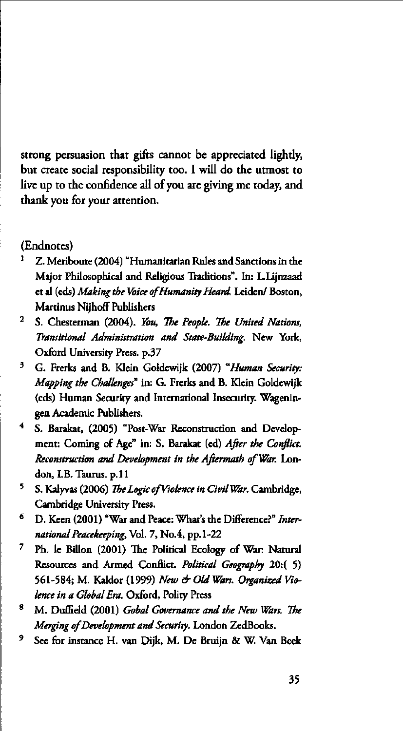strong persuasion that gifts cannot be appreciated lightly, but create social responsibility too. I will do the utmost to live up to the confidence all of you are giving me today, and thank you for your attention.

#### (Endnotes)

- 1 Z. Meriboute (2004) "Humanitarian Rules and Sanctions in the Major Philosophical and Religious Traditions''. In: L.Lijnzaad et al (eds) *Making the Voice of Humanity Heard.* Leiden/ Boston, Martinus Nijhoff Publishers
- 2 S. Chesterman (2004). *You, The People. The United Nations, Transitional Administration and State-Building.* New York, Oxford University Press, p.37
- 3 G. Frerks and B. Klein Goldewijk (2007) *"Human Security: Mapping the Challenges"* in: G. Frerks and B. Klein Goldewijk (eds) Human Security and International Insecurity. Wageningen Academic Publishers.
- 4 S. Barakat, (2005) "Post-War Reconstruction and Development: Coming of Age" in: S. Barakat (ed) *After the Conflict. Reconstruction and Development in the Aftermath of War.* London, LB. Taurus, p. 11
- 5 S. Kalyvas (2006) *The Logic ofViolence in Civil War.* Cambridge, Cambridge University Press.
- 6 D. Keen (2001) "War and Peace: What's the Différence?" *International Peacekeeping,* Vol. 7, No.4, pp.1-22
- 7 Ph. le Billon (2001) The Political Ecology of War: Natural Resources and Armed Conflict. Political Geography 20:( 5) 561-584; M. Kaldor (1999) *New & Old Wars. Organized Violence in a Global Era.* Oxford, Polity Press
- 8 M. DufEeld (2001) *Gobal Governance and the New Wars. The Merging of Development and Security.* London ZedBooks.
- 9 See for instance H. van Dijk, M. De Bruijn & W. Van Beek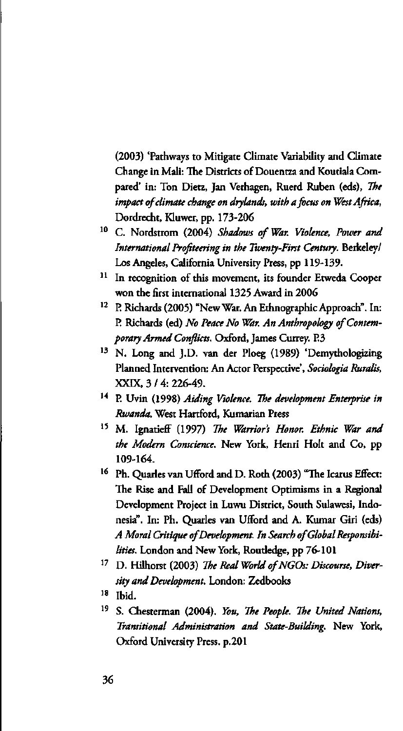(2003) 'Pathways to Mitigate Climate Variability and Climate Change in Mali: The Districts of Douentza and Koutiala Compared' in: Ton Dietz, Jan Verhagen, Ruerd Ruben (eds), *The impact of climate change on drylands, with a focus on West Africa,*  Dordrecht, Kluwer, pp. 173-206

- C. Nordstrom (2004) *Shadows of War. Violence, Power and International Profiteering in the Twenty-First Century.* Berkeley/ Los Angeles, California University Press, pp 119-139.
- <sup>11</sup> In recognition of this movement, its founder Etweda Cooper won the first international 1325 Award in 2006
- <sup>12</sup> P. Richards (2005) "New War. An Ethnographic Approach". In: P. Richards (ed) *No Peace No War. An Anthropology of Contemporary Armed Conflicts.* Oxford, James Currey. P.3
- <sup>13</sup> N. Long and J.D. van der Ploeg (1989) 'Demytholog Planned Intervention: An Actor Perspective', *Sociologia Ruralis,*  XXIX, 3 / 4: 226-49.
- <sup>14</sup> P. Uvin (1998) Aiding Violence. The development Enterprise i *Rwanda.* West Hartford, Kumarian Press
- <sup>15</sup> M. Ignatieff (1997) *The Warrior's Honor. Ethnic War the Modern Conscience.* New York, Henri Holt and Co, pp 109-164.
- <sup>16</sup> Ph. Quarles van Ufford and D. Roth (2003) "The Icarus The Rise and Fall of Development Optimisms in a Regional Development Project in Luwu District, South Sulawesi, Indonesia". In: Ph. Quarles van Ufford and A. Kumar Giri (eds) *A Moral Critique of Development. In Search of Global Responsibilities.* London and New York, Roudedge, pp 76-101
- <sup>17</sup> D. Hilhorst (2003) The Real World of NGOs: Discourse, Div *sity and Development.* London: Zedbooks
- <sup>18</sup> Ibid
- <sup>19</sup> S. Chesterman (2004). You, The People. The United Natio *Transitional Administration and State-Building.* New York, Oxford University Press, p.201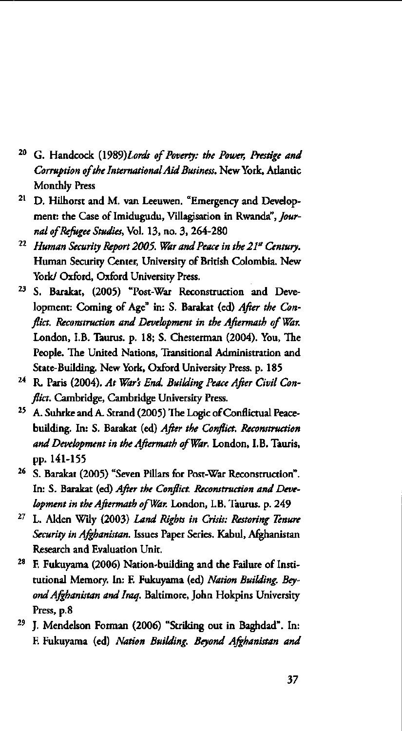- <sup>20</sup> G. Handcock (1989)*Lords of Poverty: the Power, Prestige and Corruption of the International Aid Business.* New York, Atlantic Monthly Press
- <sup>21</sup> D. Hilhorst and M. van Leeuwen. "Emergency and Dev ment: the Case of Imidugudu, Villagisation in Rwanda", *Journal of Refugee Studies,* Vol. 13, no. 3, 264-280
- <sup>22</sup> Human Security Report 2005. War and Peace in the 21<sup>st</sup> Cent Human Security Center, University of British Colombia. New York/ Oxford, Oxford University Press.
- <sup>23</sup> S. Barakat, (2005) "Post-War Reconstruction and D lopment: Coming of Age" in: S. Barakat (ed) *After the Conflict. Reconstruction and Development in the Aftermath of War.*  London, LB. Taurus, p. 18; S. Chesterman (2004). You, The People. The United Nations, Transitional Administration and State-Building. New York, Oxford University Press, p. 185
- <sup>24</sup> R. Paris (2004). At War's End. Building Peace After Civil C *flict.* Cambridge, Cambridge University Press.
- <sup>25</sup> A. Suhrke and A. Strand (2005) The Logic of Conflictual building. In: S. Barakat (ed) *After the Conflict. Reconstruction and Development in the Aftermath of War.* London, LB. Tauris, pp. 141-155
- <sup>26</sup> S. Barakat (2005) "Seven Pillars for Post-War Reconstruct In: S. Barakat (ed) *After the Conflict. Reconstruction and Development in the Aftermath of War.* London, LB. Taurus, p. 249
- <sup>27</sup> L. Alden Wily (2003) *Land Rights in Crisis: Restoring Tent Security in Afghanistan.* Issues Paper Series. Kabul, Afghanistan Research and Evaluation Unit.
- <sup>28</sup> F. Fukuyama (2006) Nation-building and the Failure of tutional Memory. In: E Fukuyama (ed) *Nation Building. Beyond Afghanistan and Iraq.* Baltimore, John Hokpins University Press, p.8
- <sup>29</sup> J. Mendelson Forman (2006) "Striking out in Baghdad E Fukuyama (ed) *Nation Building. Beyond Afghanistan and*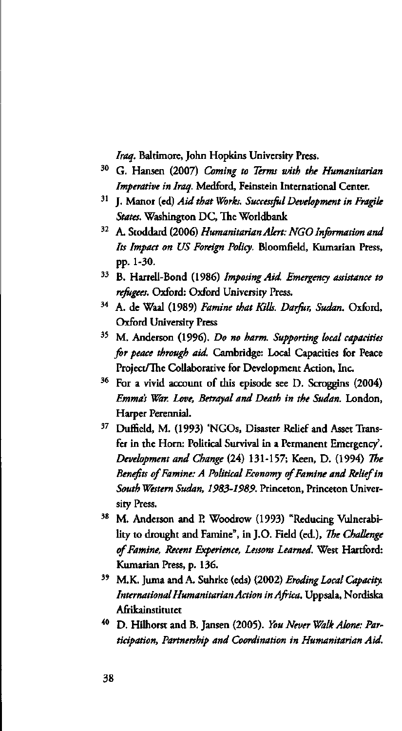*Iraq.* Baltimore, John Hopkins University Press.

- <sup>30</sup> G. Hansen (2007) *Coming to Terms with the Humanita Imperative in Iraq.* Medford, Feinstein International Center.
- <sup>31</sup> J. Manor (ed) Aid that Works. Successful Development in Fragi *Staus.* Washington DC, The Worldbank
- <sup>32</sup> A. Stoddard (2006) *Humanitarian Alert: NGO Information* a *Its Impact on US Foreign Policy.* Bloomfield, Kumarian Press, pp. 1-30.
- <sup>33</sup> B. Harrell-Bond (1986) Imposing Aid. Emergency assistance t *refugees.* Oxford: Oxford University Press.
- <sup>34</sup> A. de Waal (1989) *Famine that Kills. Darfur, Sudan*. Ox Oxford University Press
- <sup>35</sup> M. Anderson (1996). *Do no harm. Supporting local capaci for peace through aid.* Cambridge: Local Capacities for Peace Project/The Collaborative for Development Action, Inc.
- <sup>36</sup> For a vivid account of this episode see D. Scroggins *Emma's War. Love, Betrayal and Death in the Sudan.* London, Harper Perennial.
- <sup>37</sup> Duffield, M. (1993) 'NGOs, Disaster Relief and Asset' fer in the Horn: Political Survival in a Permanent Emergency'. *Development and Change* (24) 131-157; Keen, D. (1994) *The Benefits of Famine: A Political Economy of Famine and Relief in South Western Sudan, 1983-1989.* Princeton, Princeton University Press.
- <sup>38</sup> M. Anderson and P. Woodrow (1993) "Reducing Vulne lity to drought and Famine", in J.O. Field (ed.), *The Challenge of Famine, Recent Experience, Lessons Learned.* West Hartford: Kumarian Press, p. 136.
- <sup>39</sup> M.K. Juma and A. Suhrke (eds) (2002) *Eroding Local Capa International Humanitarian Action in Africa.* Uppsala, Nordiska Afrikainstitutet
- <sup>40</sup> D. Hilhorst and B. Jansen (2005). You Never Walk Alone: *ticipation, Partnership and Coordination in Humanitarian Aid.*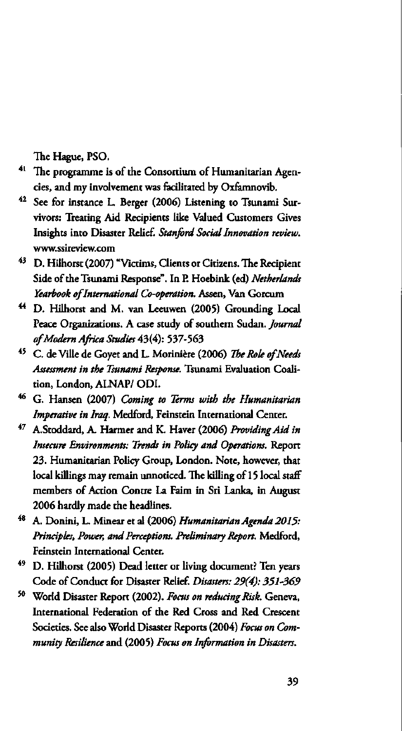The Hague, PSO.

- <sup>41</sup> The programme is of the Consortium of Humanitarian . cies, and my involvement was facilitated by Oxfamnovib.
- <sup>42</sup> See for instance L. Berger (2006) Listening to Tsunan vivors: Treating Aid Recipients like Valued Customers Gives Insights into Disaster Relief. *Stanford Social Innovation review.*  www. [ssireview.com](http://ssireview.com)
- <sup>43</sup> D. Hilhorst (2007) "Victims, Clients or Citizens. The Rec Side of the Tsunami Response". In P. Hoebink (ed) *Netherlands Yearbook of International Co-operation.* Assen, Van Gorcum
- <sup>44</sup> D. Hilhorst and M. van Leeuwen (2005) Grounding Peace Organizations. A case study of southern Sudan. *Journal of 'Modern Africa Studies* 43(4): 537-563
- <sup>45</sup> C. de Ville de Goyet and L. Morinière (2006) The Role of *Assessment in the Tsunami Response.* Tsunami Evaluation Coalition, London, ALNAP/ ODI.
- <sup>46</sup> G. Hansen (2007) *Coming to Terms with the Humanita Imperative in Iraq.* Medford, Feinstein International Center.
- 47 A.Stoddard, A. Harmer and K. Haver (2006) Providing . *Insecure Environments: Trends in Policy and Operations.* Report 23. Humanitarian Policy Group, London. Note, however, that local killings may remain unnoticed. The killing of 15 local staff members of Action Contre La Faim in Sri Lanka, in August 2006 hardly made the headlines.
- <sup>48</sup> A. Donini, L. Minear et al (2006) *Humanitarian Agenda . Principles, Power, and Perceptions. Preliminary Report.* Medford, Feinstein International Center.
- <sup>49</sup> D. Hilhorst (2005) Dead letter or living document? Ter Code of Conduct for Disaster Relief. *Disasters: 29(4): 351-369*
- <sup>50</sup> World Disaster Report (2002). Focus on reducing Risk. Gene International Federation of the Red Cross and Red Crescent Societies. See also World Disaster Reports (2004) *Focus on Community Resilience* and (2005) *Focus on Information in Disasters.*